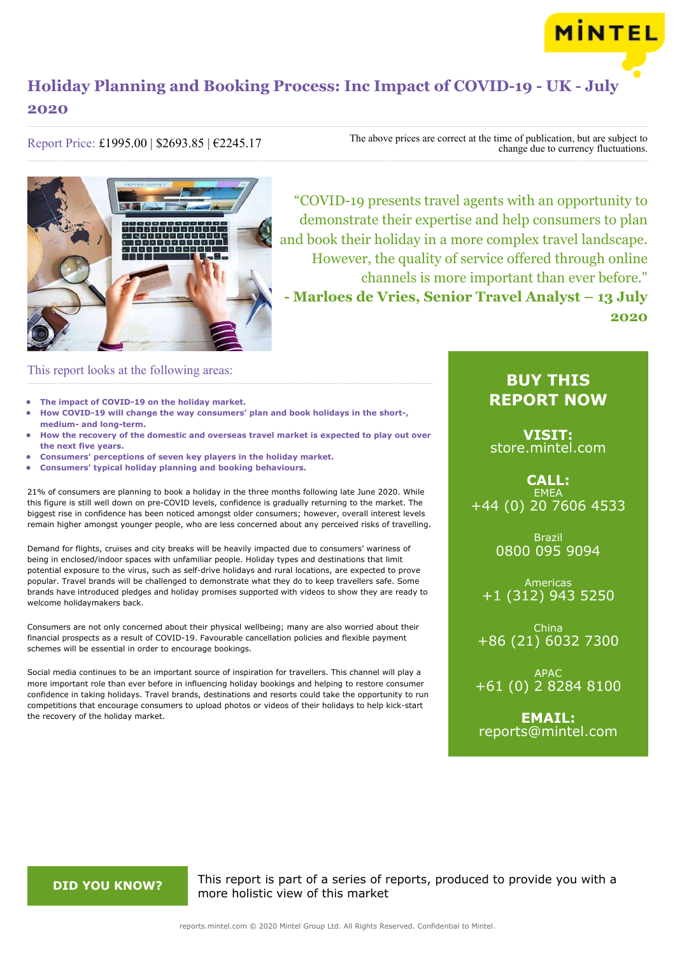

Report Price: £1995.00 | \$2693.85 | €2245.17

The above prices are correct at the time of publication, but are subject to change due to currency fluctuations.



"COVID-19 presents travel agents with an opportunity to demonstrate their expertise and help consumers to plan and book their holiday in a more complex travel landscape. However, the quality of service offered through online channels is more important than ever before." **- Marloes de Vries, Senior Travel Analyst – 13 July 2020**

### This report looks at the following areas:

- **• The impact of COVID-19 on the holiday market.**
- **• How COVID-19 will change the way consumers' plan and book holidays in the short-, medium- and long-term.**
- **• How the recovery of the domestic and overseas travel market is expected to play out over the next five years.**
- **• Consumers' perceptions of seven key players in the holiday market.**
- **• Consumers' typical holiday planning and booking behaviours.**

21% of consumers are planning to book a holiday in the three months following late June 2020. While this figure is still well down on pre-COVID levels, confidence is gradually returning to the market. The biggest rise in confidence has been noticed amongst older consumers; however, overall interest levels remain higher amongst younger people, who are less concerned about any perceived risks of travelling.

Demand for flights, cruises and city breaks will be heavily impacted due to consumers' wariness of being in enclosed/indoor spaces with unfamiliar people. Holiday types and destinations that limit potential exposure to the virus, such as self-drive holidays and rural locations, are expected to prove popular. Travel brands will be challenged to demonstrate what they do to keep travellers safe. Some brands have introduced pledges and holiday promises supported with videos to show they are ready to welcome holidaymakers back.

Consumers are not only concerned about their physical wellbeing; many are also worried about their financial prospects as a result of COVID-19. Favourable cancellation policies and flexible payment schemes will be essential in order to encourage bookings.

Social media continues to be an important source of inspiration for travellers. This channel will play a more important role than ever before in influencing holiday bookings and helping to restore consumer confidence in taking holidays. Travel brands, destinations and resorts could take the opportunity to run competitions that encourage consumers to upload photos or videos of their holidays to help kick-start the recovery of the holiday market.

## **BUY THIS REPORT NOW**

**MINTEL** 

**VISIT:** [store.mintel.com](/reports.mintel.com//display/store/988962/)

**CALL: EMEA** +44 (0) 20 7606 4533

> Brazil 0800 095 9094

Americas +1 (312) 943 5250

China +86 (21) 6032 7300

APAC +61 (0) 2 8284 8100

**EMAIL:** [reports@mintel.com](mailto:reports@mintel.com)

**DID YOU KNOW?** This report is part of a series of reports, produced to provide you with a more holistic view of this market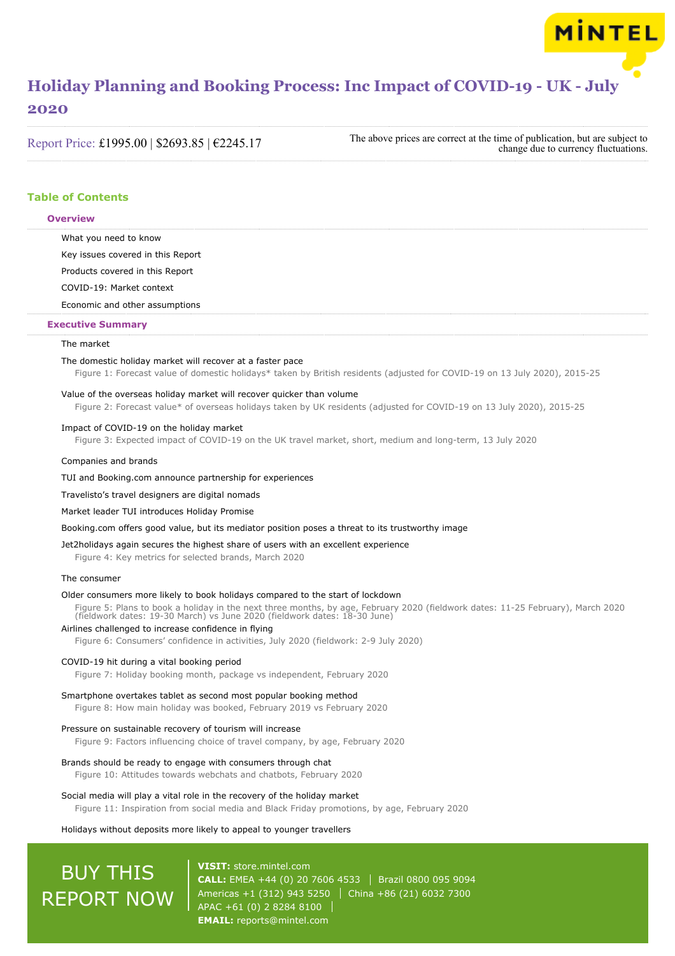### **2020**

Report Price: £1995.00 | \$2693.85 | €2245.17

The above prices are correct at the time of publication, but are subject to change due to currency fluctuations.

MINTEL

### **Table of Contents**

#### **Overview**

What you need to know

Key issues covered in this Report

Products covered in this Report

COVID-19: Market context

Economic and other assumptions

#### **Executive Summary**

#### The market

#### The domestic holiday market will recover at a faster pace

Figure 1: Forecast value of domestic holidays\* taken by British residents (adjusted for COVID-19 on 13 July 2020), 2015-25

#### Value of the overseas holiday market will recover quicker than volume

Figure 2: Forecast value\* of overseas holidays taken by UK residents (adjusted for COVID-19 on 13 July 2020), 2015-25

#### Impact of COVID-19 on the holiday market

Figure 3: Expected impact of COVID-19 on the UK travel market, short, medium and long-term, 13 July 2020

#### Companies and brands

TUI and Booking.com announce partnership for experiences

Travelisto's travel designers are digital nomads

#### Market leader TUI introduces Holiday Promise

Booking.com offers good value, but its mediator position poses a threat to its trustworthy image

#### Jet2holidays again secures the highest share of users with an excellent experience

Figure 4: Key metrics for selected brands, March 2020

#### The consumer

#### Older consumers more likely to book holidays compared to the start of lockdown

Figure 5: Plans to book a holiday in the next three months, by age, February 2020 (fieldwork dates: 11-25 February), March 2020 (fieldwork dates: 19-30 March) vs June 2020 (fieldwork dates: 18-30 June)

### Airlines challenged to increase confidence in flying

Figure 6: Consumers' confidence in activities, July 2020 (fieldwork: 2-9 July 2020)

#### COVID-19 hit during a vital booking period

Figure 7: Holiday booking month, package vs independent, February 2020

#### Smartphone overtakes tablet as second most popular booking method

Figure 8: How main holiday was booked, February 2019 vs February 2020

#### Pressure on sustainable recovery of tourism will increase

Figure 9: Factors influencing choice of travel company, by age, February 2020

#### Brands should be ready to engage with consumers through chat

Figure 10: Attitudes towards webchats and chatbots, February 2020

#### Social media will play a vital role in the recovery of the holiday market

Figure 11: Inspiration from social media and Black Friday promotions, by age, February 2020

#### Holidays without deposits more likely to appeal to younger travellers

# BUY THIS REPORT NOW

**VISIT:** [store.mintel.com](/reports.mintel.com//display/store/988962/) **CALL:** EMEA +44 (0) 20 7606 4533 | Brazil 0800 095 9094 Americas +1 (312) 943 5250 | China +86 (21) 6032 7300 APAC +61 (0) 2 8284 8100 **EMAIL:** [reports@mintel.com](mailto:reports@mintel.com)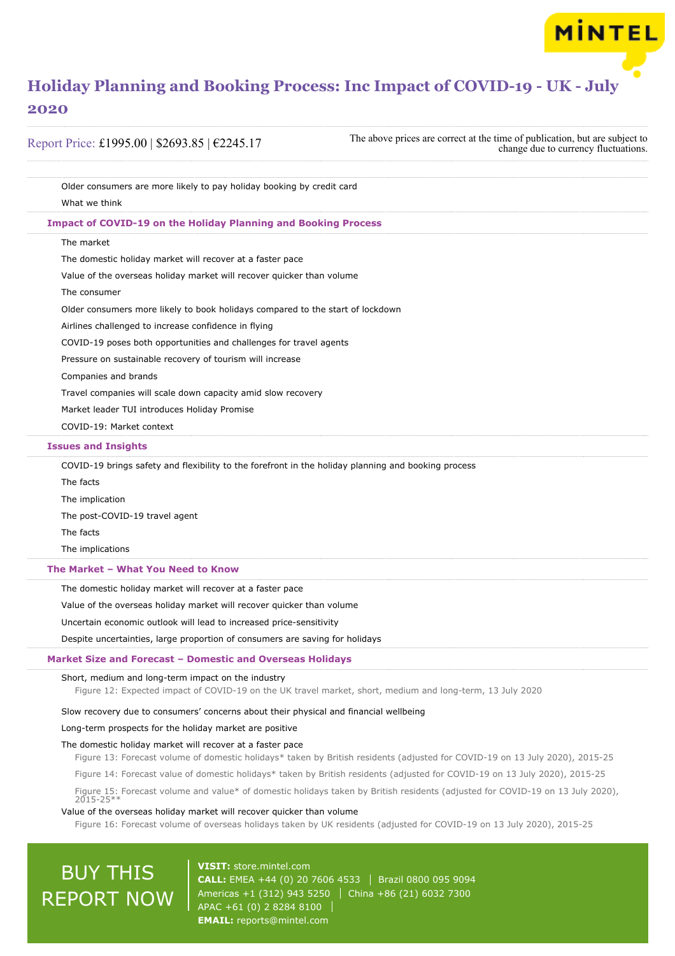### **2020**

Report Price: £1995.00 | \$2693.85 | €2245.17

The above prices are correct at the time of publication, but are subject to change due to currency fluctuations.

MINTEL

Older consumers are more likely to pay holiday booking by credit card What we think The market The domestic holiday market will recover at a faster pace Value of the overseas holiday market will recover quicker than volume The consumer Older consumers more likely to book holidays compared to the start of lockdown Airlines challenged to increase confidence in flying COVID-19 poses both opportunities and challenges for travel agents Pressure on sustainable recovery of tourism will increase Companies and brands Travel companies will scale down capacity amid slow recovery Market leader TUI introduces Holiday Promise COVID-19: Market context COVID-19 brings safety and flexibility to the forefront in the holiday planning and booking process The facts The implication The post-COVID-19 travel agent The facts The implications The domestic holiday market will recover at a faster pace Value of the overseas holiday market will recover quicker than volume Uncertain economic outlook will lead to increased price-sensitivity Despite uncertainties, large proportion of consumers are saving for holidays Short, medium and long-term impact on the industry **Impact of COVID-19 on the Holiday Planning and Booking Process Issues and Insights The Market – What You Need to Know Market Size and Forecast – Domestic and Overseas Holidays**

Figure 12: Expected impact of COVID-19 on the UK travel market, short, medium and long-term, 13 July 2020

Slow recovery due to consumers' concerns about their physical and financial wellbeing

Long-term prospects for the holiday market are positive

#### The domestic holiday market will recover at a faster pace

Figure 13: Forecast volume of domestic holidays\* taken by British residents (adjusted for COVID-19 on 13 July 2020), 2015-25

Figure 14: Forecast value of domestic holidays\* taken by British residents (adjusted for COVID-19 on 13 July 2020), 2015-25

Figure 15: Forecast volume and value\* of domestic holidays taken by British residents (adjusted for COVID-19 on 13 July 2020),  $2015 - 25$ 

#### Value of the overseas holiday market will recover quicker than volume

Figure 16: Forecast volume of overseas holidays taken by UK residents (adjusted for COVID-19 on 13 July 2020), 2015-25

## **BUY THIS** REPORT NOW

**VISIT:** [store.mintel.com](/reports.mintel.com//display/store/988962/) **CALL:** EMEA +44 (0) 20 7606 4533 Brazil 0800 095 9094 Americas +1 (312) 943 5250 China +86 (21) 6032 7300 APAC +61 (0) 2 8284 8100 **EMAIL:** [reports@mintel.com](mailto:reports@mintel.com)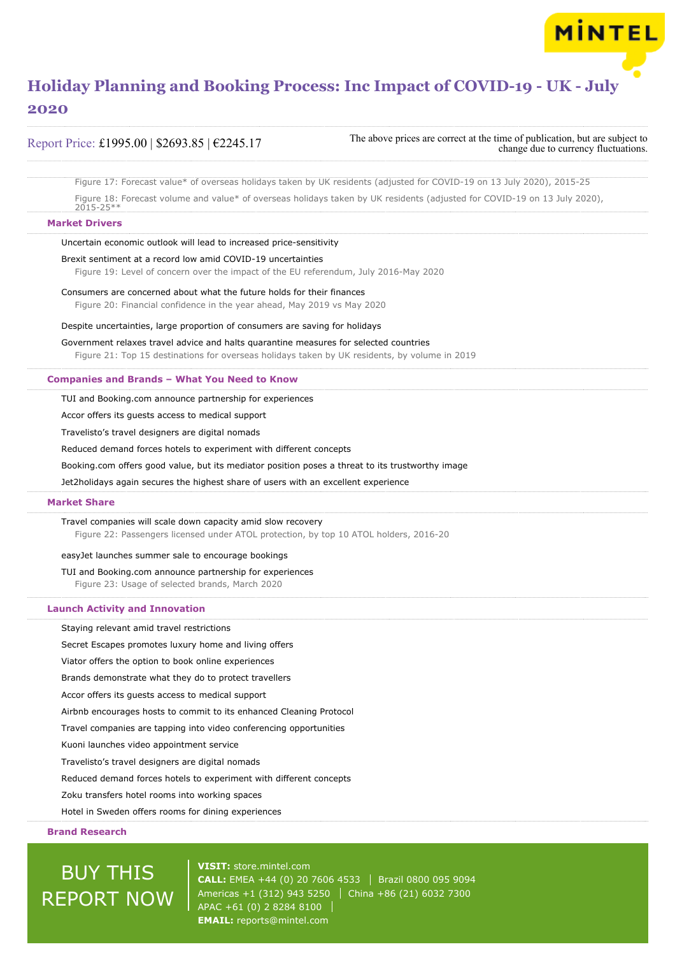Report Price: £1995.00 | \$2693.85 | €2245.17

The above prices are correct at the time of publication, but are subject to change due to currency fluctuations.

MINTEL

Figure 17: Forecast value\* of overseas holidays taken by UK residents (adjusted for COVID-19 on 13 July 2020), 2015-25

Figure 18: Forecast volume and value\* of overseas holidays taken by UK residents (adjusted for COVID-19 on 13 July 2020),  $2015 - 25$ 

#### **Market Drivers**

Uncertain economic outlook will lead to increased price-sensitivity

#### Brexit sentiment at a record low amid COVID-19 uncertainties

Figure 19: Level of concern over the impact of the EU referendum, July 2016-May 2020

Consumers are concerned about what the future holds for their finances Figure 20: Financial confidence in the year ahead, May 2019 vs May 2020

#### Despite uncertainties, large proportion of consumers are saving for holidays

Government relaxes travel advice and halts quarantine measures for selected countries Figure 21: Top 15 destinations for overseas holidays taken by UK residents, by volume in 2019

#### **Companies and Brands – What You Need to Know**

TUI and Booking.com announce partnership for experiences

Accor offers its guests access to medical support

Travelisto's travel designers are digital nomads

Reduced demand forces hotels to experiment with different concepts

Booking.com offers good value, but its mediator position poses a threat to its trustworthy image

Jet2holidays again secures the highest share of users with an excellent experience

#### **Market Share**

Travel companies will scale down capacity amid slow recovery Figure 22: Passengers licensed under ATOL protection, by top 10 ATOL holders, 2016-20

easyJet launches summer sale to encourage bookings

#### TUI and Booking.com announce partnership for experiences

Figure 23: Usage of selected brands, March 2020

#### **Launch Activity and Innovation**

Staying relevant amid travel restrictions

Secret Escapes promotes luxury home and living offers

Viator offers the option to book online experiences

Brands demonstrate what they do to protect travellers

Accor offers its guests access to medical support

Airbnb encourages hosts to commit to its enhanced Cleaning Protocol

Travel companies are tapping into video conferencing opportunities

Kuoni launches video appointment service

Travelisto's travel designers are digital nomads

Reduced demand forces hotels to experiment with different concepts

### Zoku transfers hotel rooms into working spaces

Hotel in Sweden offers rooms for dining experiences

### **Brand Research**

## BUY THIS REPORT NOW

**VISIT:** [store.mintel.com](/reports.mintel.com//display/store/988962/) **CALL:** EMEA +44 (0) 20 7606 4533 | Brazil 0800 095 9094 Americas +1 (312) 943 5250 China +86 (21) 6032 7300 APAC +61 (0) 2 8284 8100 **EMAIL:** [reports@mintel.com](mailto:reports@mintel.com)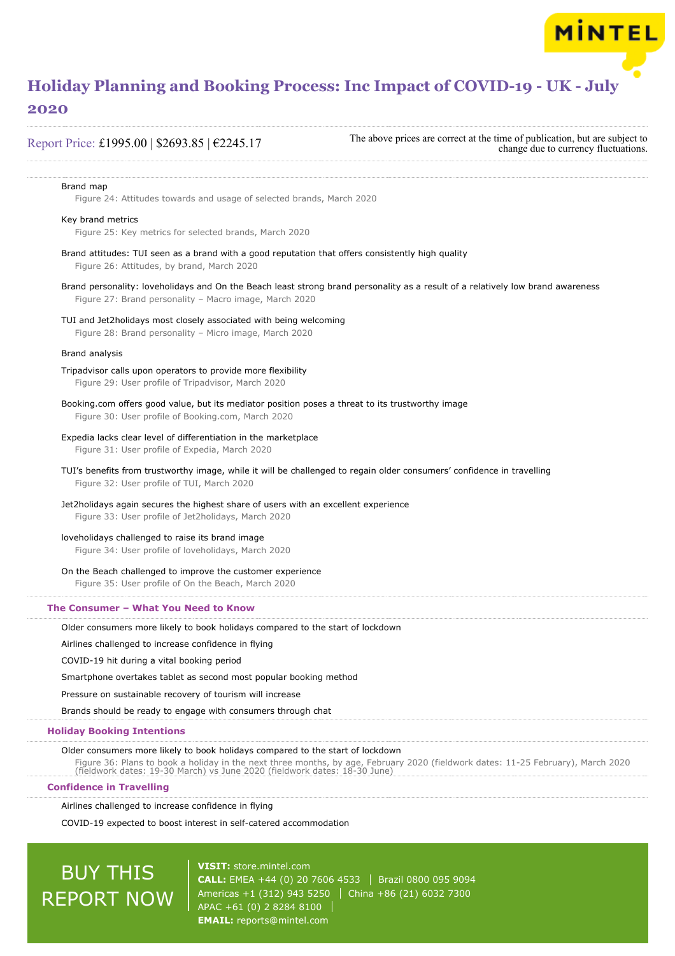Report Price: £1995.00 | \$2693.85 | €2245.17

The above prices are correct at the time of publication, but are subject to change due to currency fluctuations.

**MINTEL** 

#### Brand map

Figure 24: Attitudes towards and usage of selected brands, March 2020

#### Key brand metrics

Figure 25: Key metrics for selected brands, March 2020

- Brand attitudes: TUI seen as a brand with a good reputation that offers consistently high quality Figure 26: Attitudes, by brand, March 2020
- Brand personality: loveholidays and On the Beach least strong brand personality as a result of a relatively low brand awareness Figure 27: Brand personality – Macro image, March 2020
- TUI and Jet2holidays most closely associated with being welcoming

Figure 28: Brand personality – Micro image, March 2020

#### Brand analysis

- Tripadvisor calls upon operators to provide more flexibility Figure 29: User profile of Tripadvisor, March 2020
- Booking.com offers good value, but its mediator position poses a threat to its trustworthy image Figure 30: User profile of Booking.com, March 2020
- Expedia lacks clear level of differentiation in the marketplace Figure 31: User profile of Expedia, March 2020
- TUI's benefits from trustworthy image, while it will be challenged to regain older consumers' confidence in travelling Figure 32: User profile of TUI, March 2020
- Jet2holidays again secures the highest share of users with an excellent experience Figure 33: User profile of Jet2holidays, March 2020
- loveholidays challenged to raise its brand image
	- Figure 34: User profile of loveholidays, March 2020
- On the Beach challenged to improve the customer experience

Figure 35: User profile of On the Beach, March 2020

#### **The Consumer – What You Need to Know**

Older consumers more likely to book holidays compared to the start of lockdown

Airlines challenged to increase confidence in flying

COVID-19 hit during a vital booking period

Smartphone overtakes tablet as second most popular booking method

Pressure on sustainable recovery of tourism will increase

Brands should be ready to engage with consumers through chat

#### **Holiday Booking Intentions**

Older consumers more likely to book holidays compared to the start of lockdown

Figure 36: Plans to book a holiday in the next three months, by age, February 2020 (fieldwork dates: 11-25 February), March 2020 (fieldwork dates: 19-30 March) vs June 2020 (fieldwork dates: 18-30 June)

#### **Confidence in Travelling**

Airlines challenged to increase confidence in flying

COVID-19 expected to boost interest in self-catered accommodation

## **BUY THIS** REPORT NOW

**VISIT:** [store.mintel.com](/reports.mintel.com//display/store/988962/) **CALL:** EMEA +44 (0) 20 7606 4533 | Brazil 0800 095 9094 Americas +1 (312) 943 5250 | China +86 (21) 6032 7300 APAC +61 (0) 2 8284 8100 **EMAIL:** [reports@mintel.com](mailto:reports@mintel.com)